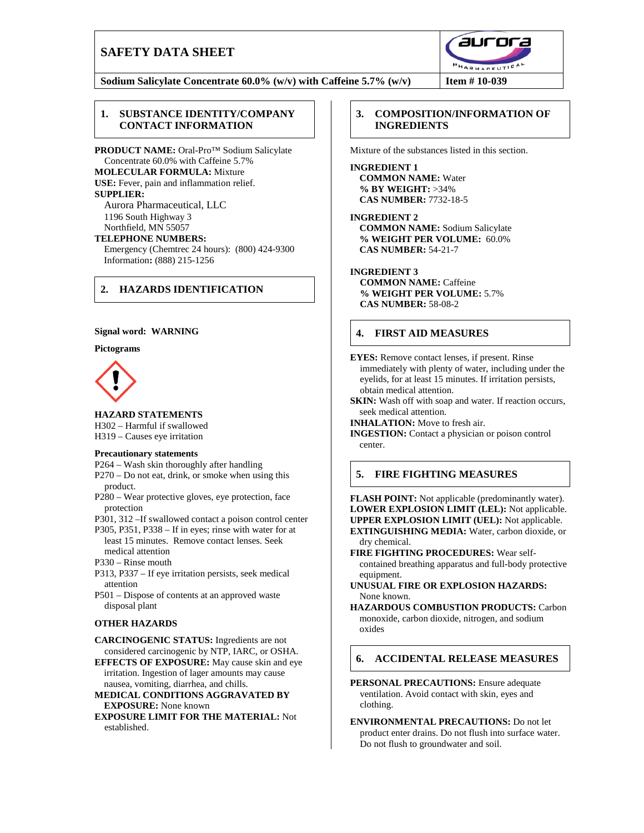# **SAFETY DATA SHEET**



**Sodium Salicylate Concentrate 60.0% (w/v) with Caffeine 5.7% (w/v) Item # 10-039**

### **1. SUBSTANCE IDENTITY/COMPANY CONTACT INFORMATION**

**PRODUCT NAME:** Oral-Pro™ Sodium Salicylate Concentrate 60.0% with Caffeine 5.7% **MOLECULAR FORMULA:** Mixture **USE:** Fever, pain and inflammation relief. **SUPPLIER:** Aurora Pharmaceutical, LLC

1196 South Highway 3 Northfield, MN 55057

**TELEPHONE NUMBERS:** Emergency (Chemtrec 24 hours): (800) 424-9300 Information**:** (888) 215-1256

## **2. HAZARDS IDENTIFICATION**

#### **Signal word: WARNING**

#### **Pictograms**



**HAZARD STATEMENTS**

H302 – Harmful if swallowed H319 – Causes eye irritation

#### **Precautionary statements**

- P264 Wash skin thoroughly after handling
- P270 Do not eat, drink, or smoke when using this product.
- P280 Wear protective gloves, eye protection, face protection

P301, 312 –If swallowed contact a poison control center

- P305, P351, P338 If in eyes; rinse with water for at least 15 minutes. Remove contact lenses. Seek medical attention
- P330 Rinse mouth
- P313, P337 If eye irritation persists, seek medical attention

P501 – Dispose of contents at an approved waste disposal plant

### **OTHER HAZARDS**

**CARCINOGENIC STATUS:** Ingredients are not considered carcinogenic by NTP, IARC, or OSHA.

**EFFECTS OF EXPOSURE:** May cause skin and eye irritation. Ingestion of lager amounts may cause nausea, vomiting, diarrhea, and chills.

- **MEDICAL CONDITIONS AGGRAVATED BY EXPOSURE:** None known
- **EXPOSURE LIMIT FOR THE MATERIAL:** Not established.

## **3. COMPOSITION/INFORMATION OF INGREDIENTS**

Mixture of the substances listed in this section.

**INGREDIENT 1 COMMON NAME:** Water **% BY WEIGHT:** >34% **CAS NUMBER:** 7732-18-5

**INGREDIENT 2 COMMON NAME:** Sodium Salicylate **% WEIGHT PER VOLUME:** 60.0% **CAS NUMB***E***R:** 54-21-7

#### **INGREDIENT 3**

**COMMON NAME:** Caffeine **% WEIGHT PER VOLUME:** 5.7% **CAS NUMBER:** 58-08-2

## **4. FIRST AID MEASURES**

**EYES:** Remove contact lenses, if present. Rinse immediately with plenty of water, including under the eyelids, for at least 15 minutes. If irritation persists, obtain medical attention.

**SKIN:** Wash off with soap and water. If reaction occurs, seek medical attention.

**INHALATION:** Move to fresh air.

**INGESTION:** Contact a physician or poison control center.

### **5. FIRE FIGHTING MEASURES**

**FLASH POINT:** Not applicable (predominantly water). **LOWER EXPLOSION LIMIT (LEL):** Not applicable. **UPPER EXPLOSION LIMIT (UEL):** Not applicable. **EXTINGUISHING MEDIA:** Water, carbon dioxide, or dry chemical.

**FIRE FIGHTING PROCEDURES:** Wear selfcontained breathing apparatus and full-body protective equipment.

**UNUSUAL FIRE OR EXPLOSION HAZARDS:** None known.

**HAZARDOUS COMBUSTION PRODUCTS:** Carbon monoxide, carbon dioxide, nitrogen, and sodium oxides

## **6. ACCIDENTAL RELEASE MEASURES**

**PERSONAL PRECAUTIONS:** Ensure adequate ventilation. Avoid contact with skin, eyes and clothing.

**ENVIRONMENTAL PRECAUTIONS:** Do not let product enter drains. Do not flush into surface water. Do not flush to groundwater and soil.